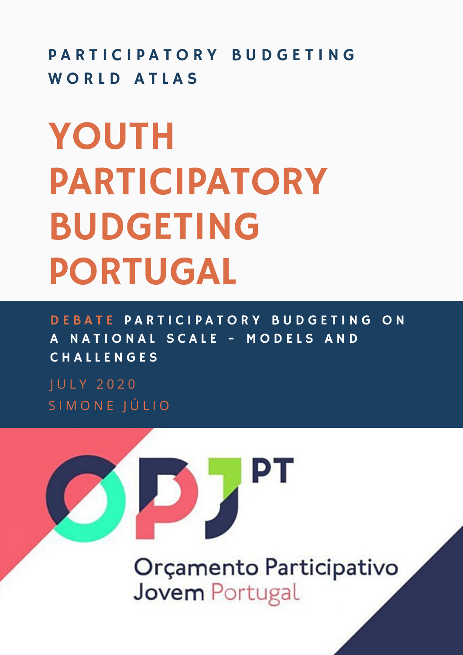PARTICIPATORY BUDGETING WORLD ATLAS

# YOUTH PARTICIPATORY BUDGETING PORTUGAL

D E BATE PARTICIPATORY BUDGETING ON A NATIONAL SCALE - MODELS AND C H A L L E N G E S

J U L Y 2 0 2 0 S I M O N E J Ú L I O

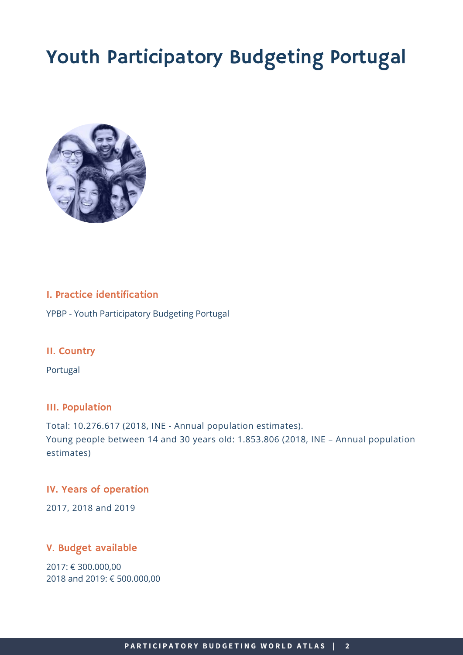# Youth Participatory Budgeting Portugal



# I. Practice identification

YPBP - Youth Participatory Budgeting Portugal

# II. Country

Portugal

# III. Population

Total: 10.276.617 (2018, INE - Annual population estimates). Young people between 14 and 30 years old: 1.853.806 (2018, INE – Annual population estimates)

# IV. Years of operation

2017, 2018 and 2019

# V. Budget available

2017: € 300.000,00 2018 and 2019: € 500.000,00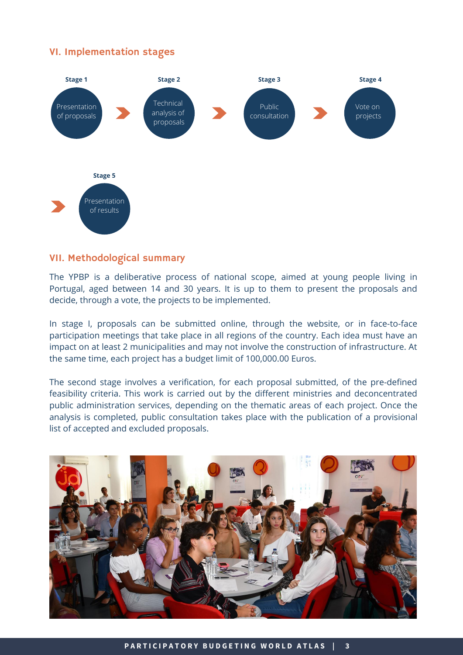# VI. Implementation stages



# VII. Methodological summary

The YPBP is a deliberative process of national scope, aimed at young people living in Portugal, aged between 14 and 30 years. It is up to them to present the proposals and decide, through a vote, the projects to be implemented.

In stage I, proposals can be submitted online, through the website, or in face-to-face participation meetings that take place in all regions of the country. Each idea must have an impact on at least 2 municipalities and may not involve the construction of infrastructure. At the same time, each project has a budget limit of 100,000.00 Euros.

The second stage involves a verification, for each proposal submitted, of the pre-defined feasibility criteria. This work is carried out by the different ministries and deconcentrated public administration services, depending on the thematic areas of each project. Once the analysis is completed, public consultation takes place with the publication of a provisional list of accepted and excluded proposals.